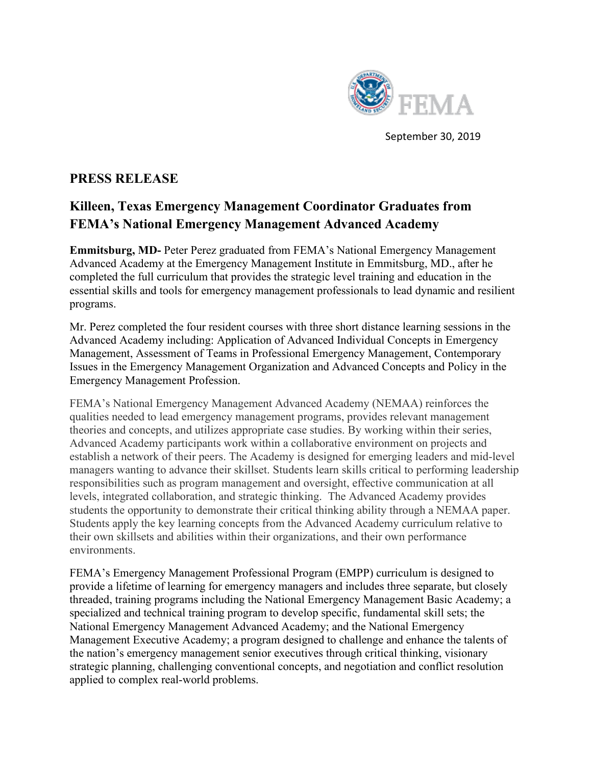

September 30, 2019

## **PRESS RELEASE**

## **Killeen, Texas Emergency Management Coordinator Graduates from FEMA's National Emergency Management Advanced Academy**

**Emmitsburg, MD-** Peter Perez graduated from FEMA's National Emergency Management Advanced Academy at the Emergency Management Institute in Emmitsburg, MD., after he completed the full curriculum that provides the strategic level training and education in the essential skills and tools for emergency management professionals to lead dynamic and resilient programs.

Mr. Perez completed the four resident courses with three short distance learning sessions in the Advanced Academy including: Application of Advanced Individual Concepts in Emergency Management, Assessment of Teams in Professional Emergency Management, Contemporary Issues in the Emergency Management Organization and Advanced Concepts and Policy in the Emergency Management Profession.

FEMA's National Emergency Management Advanced Academy (NEMAA) reinforces the qualities needed to lead emergency management programs, provides relevant management theories and concepts, and utilizes appropriate case studies. By working within their series, Advanced Academy participants work within a collaborative environment on projects and establish a network of their peers. The Academy is designed for emerging leaders and mid-level managers wanting to advance their skillset. Students learn skills critical to performing leadership responsibilities such as program management and oversight, effective communication at all levels, integrated collaboration, and strategic thinking. The Advanced Academy provides students the opportunity to demonstrate their critical thinking ability through a NEMAA paper. Students apply the key learning concepts from the Advanced Academy curriculum relative to their own skillsets and abilities within their organizations, and their own performance environments.

FEMA's Emergency Management Professional Program (EMPP) curriculum is designed to provide a lifetime of learning for emergency managers and includes three separate, but closely threaded, training programs including the National Emergency Management Basic Academy; a specialized and technical training program to develop specific, fundamental skill sets; the National Emergency Management Advanced Academy; and the National Emergency Management Executive Academy; a program designed to challenge and enhance the talents of the nation's emergency management senior executives through critical thinking, visionary strategic planning, challenging conventional concepts, and negotiation and conflict resolution applied to complex real-world problems.